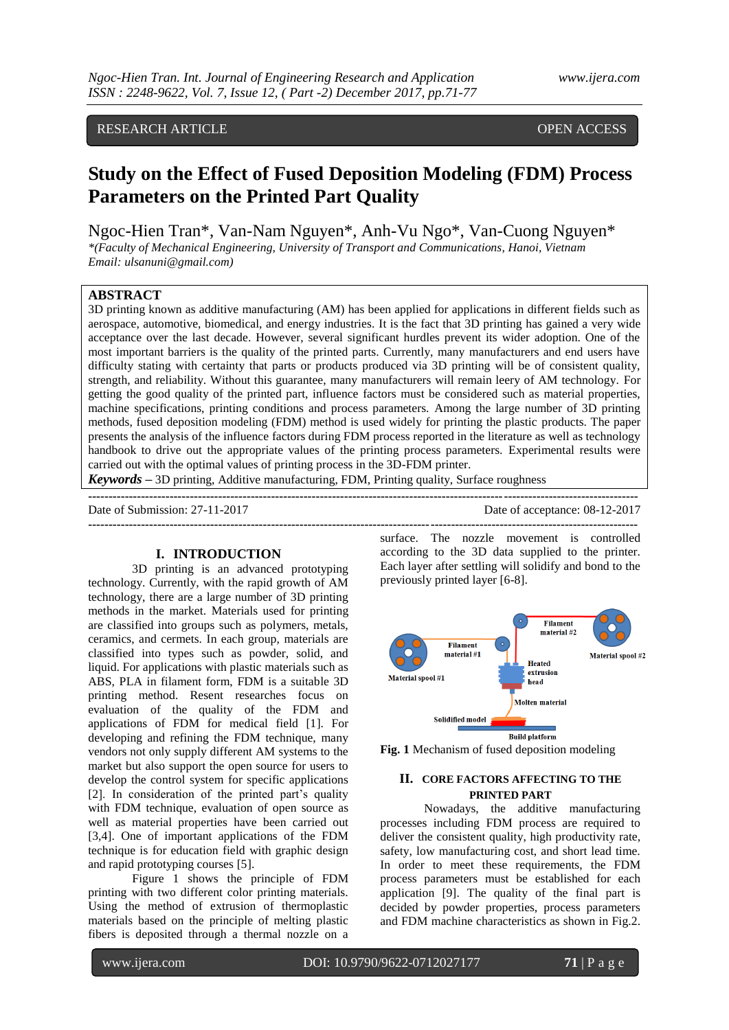# RESEARCH ARTICLE **CONSERVERS** OPEN ACCESS

# **Study on the Effect of Fused Deposition Modeling (FDM) Process Parameters on the Printed Part Quality**

Ngoc-Hien Tran\*, Van-Nam Nguyen\*, Anh-Vu Ngo\*, Van-Cuong Nguyen\* *\*(Faculty of Mechanical Engineering, University of Transport and Communications, Hanoi, Vietnam Email: ulsanuni@gmail.com)*

#### **ABSTRACT**

3D printing known as additive manufacturing (AM) has been applied for applications in different fields such as aerospace, automotive, biomedical, and energy industries. It is the fact that 3D printing has gained a very wide acceptance over the last decade. However, several significant hurdles prevent its wider adoption. One of the most important barriers is the quality of the printed parts. Currently, many manufacturers and end users have difficulty stating with certainty that parts or products produced via 3D printing will be of consistent quality, strength, and reliability. Without this guarantee, many manufacturers will remain leery of AM technology. For getting the good quality of the printed part, influence factors must be considered such as material properties, machine specifications, printing conditions and process parameters. Among the large number of 3D printing methods, fused deposition modeling (FDM) method is used widely for printing the plastic products. The paper presents the analysis of the influence factors during FDM process reported in the literature as well as technology handbook to drive out the appropriate values of the printing process parameters. Experimental results were carried out with the optimal values of printing process in the 3D-FDM printer.

**---------------------------------------------------------------------------------------------------------------------------------------**

*Keywords* **–** 3D printing, Additive manufacturing, FDM, Printing quality, Surface roughness

Date of Submission: 27-11-2017 Date of acceptance: 08-12-2017 **---------------------------------------------------------------------------------------------------------------------------------------**

# **I. INTRODUCTION**

3D printing is an advanced prototyping technology. Currently, with the rapid growth of AM technology, there are a large number of 3D printing methods in the market. Materials used for printing are classified into groups such as polymers, metals, ceramics, and cermets. In each group, materials are classified into types such as powder, solid, and liquid. For applications with plastic materials such as ABS, PLA in filament form, FDM is a suitable 3D printing method. Resent researches focus on evaluation of the quality of the FDM and applications of FDM for medical field [1]. For developing and refining the FDM technique, many vendors not only supply different AM systems to the market but also support the open source for users to develop the control system for specific applications [2]. In consideration of the printed part's quality with FDM technique, evaluation of open source as well as material properties have been carried out [3,4]. One of important applications of the FDM technique is for education field with graphic design and rapid prototyping courses [5].

Figure 1 shows the principle of FDM printing with two different color printing materials. Using the method of extrusion of thermoplastic materials based on the principle of melting plastic fibers is deposited through a thermal nozzle on a surface. The nozzle movement is controlled according to the 3D data supplied to the printer. Each layer after settling will solidify and bond to the previously printed layer [6-8].





### **II. CORE FACTORS AFFECTING TO THE PRINTED PART**

Nowadays, the additive manufacturing processes including FDM process are required to deliver the consistent quality, high productivity rate, safety, low manufacturing cost, and short lead time. In order to meet these requirements, the FDM process parameters must be established for each application [9]. The quality of the final part is decided by powder properties, process parameters and FDM machine characteristics as shown in Fig.2.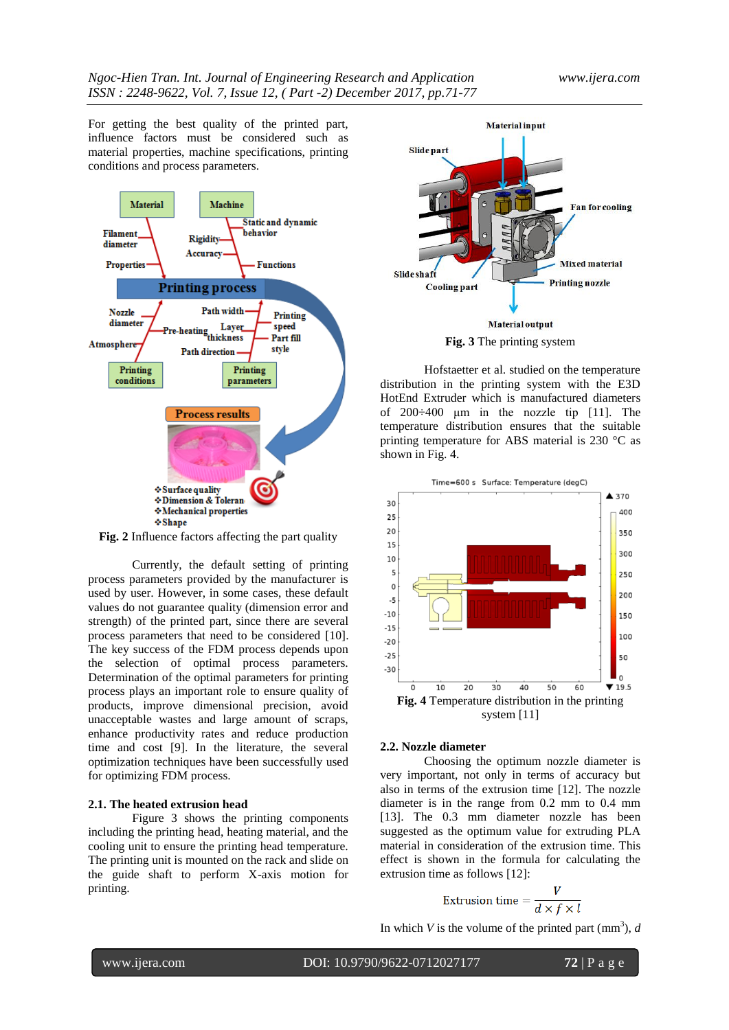For getting the best quality of the printed part, influence factors must be considered such as material properties, machine specifications, printing conditions and process parameters.



**Fig. 2** Influence factors affecting the part quality

Currently, the default setting of printing process parameters provided by the manufacturer is used by user. However, in some cases, these default values do not guarantee quality (dimension error and strength) of the printed part, since there are several process parameters that need to be considered [10]. The key success of the FDM process depends upon the selection of optimal process parameters. Determination of the optimal parameters for printing process plays an important role to ensure quality of products, improve dimensional precision, avoid unacceptable wastes and large amount of scraps, enhance productivity rates and reduce production time and cost [9]. In the literature, the several optimization techniques have been successfully used for optimizing FDM process.

#### **2.1. The heated extrusion head**

Figure 3 shows the printing components including the printing head, heating material, and the cooling unit to ensure the printing head temperature. The printing unit is mounted on the rack and slide on the guide shaft to perform X-axis motion for printing.



Hofstaetter et al. studied on the temperature distribution in the printing system with the E3D HotEnd Extruder which is manufactured diameters of 200÷400 μm in the nozzle tip [11]. The temperature distribution ensures that the suitable printing temperature for ABS material is 230 °C as shown in Fig. 4.



#### **2.2. Nozzle diameter**

Choosing the optimum nozzle diameter is very important, not only in terms of accuracy but also in terms of the extrusion time [12]. The nozzle diameter is in the range from 0.2 mm to 0.4 mm [13]. The 0.3 mm diameter nozzle has been suggested as the optimum value for extruding PLA material in consideration of the extrusion time. This effect is shown in the formula for calculating the extrusion time as follows [12]:

$$
Extusion time = \frac{V}{d \times f \times l}
$$

In which *V* is the volume of the printed part  $\text{(mm}^3)$ , *d* 

www.ijera.com DOI: 10.9790/9622-0712027177 **72** | P a g e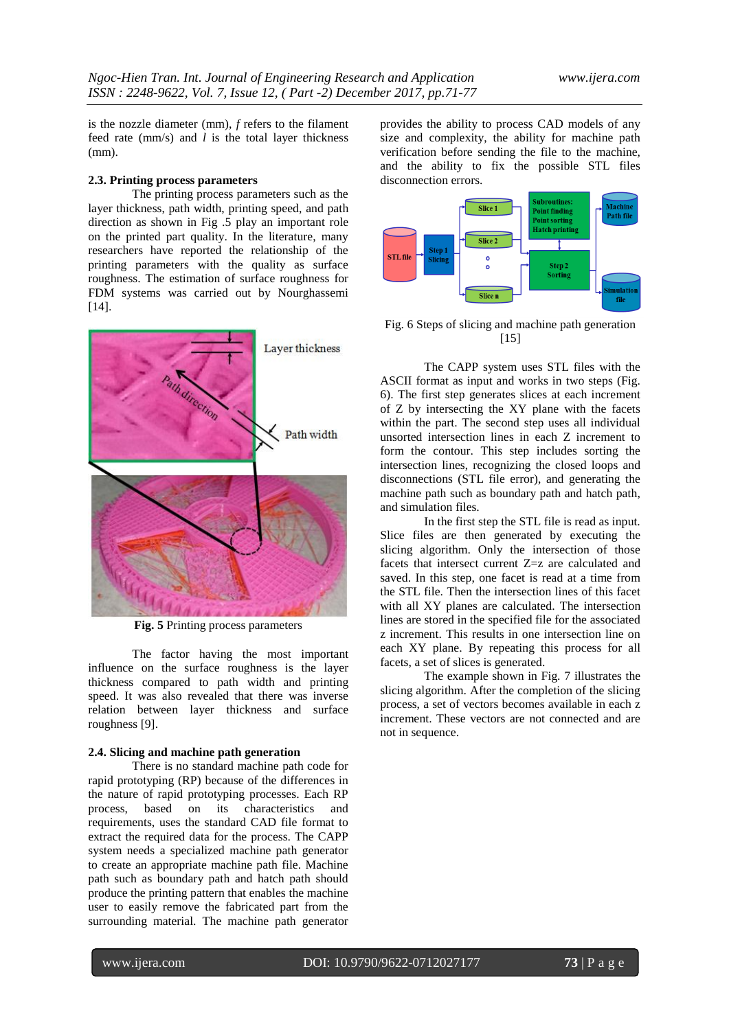is the nozzle diameter (mm), *f* refers to the filament feed rate (mm/s) and *l* is the total layer thickness (mm).

#### **2.3. Printing process parameters**

The printing process parameters such as the layer thickness, path width, printing speed, and path direction as shown in Fig .5 play an important role on the printed part quality. In the literature, many researchers have reported the relationship of the printing parameters with the quality as surface roughness. The estimation of surface roughness for FDM systems was carried out by Nourghassemi [14].



**Fig. 5** Printing process parameters

The factor having the most important influence on the surface roughness is the layer thickness compared to path width and printing speed. It was also revealed that there was inverse relation between layer thickness and surface roughness [9].

#### **2.4. Slicing and machine path generation**

There is no standard machine path code for rapid prototyping (RP) because of the differences in the nature of rapid prototyping processes. Each RP process, based on its characteristics and requirements, uses the standard CAD file format to extract the required data for the process. The CAPP system needs a specialized machine path generator to create an appropriate machine path file. Machine path such as boundary path and hatch path should produce the printing pattern that enables the machine user to easily remove the fabricated part from the surrounding material. The machine path generator

provides the ability to process CAD models of any size and complexity, the ability for machine path verification before sending the file to the machine, and the ability to fix the possible STL files disconnection errors.



Fig. 6 Steps of slicing and machine path generation [15]

The CAPP system uses STL files with the ASCII format as input and works in two steps (Fig. 6). The first step generates slices at each increment of Z by intersecting the XY plane with the facets within the part. The second step uses all individual unsorted intersection lines in each Z increment to form the contour. This step includes sorting the intersection lines, recognizing the closed loops and disconnections (STL file error), and generating the machine path such as boundary path and hatch path, and simulation files.

In the first step the STL file is read as input. Slice files are then generated by executing the slicing algorithm. Only the intersection of those facets that intersect current Z=z are calculated and saved. In this step, one facet is read at a time from the STL file. Then the intersection lines of this facet with all XY planes are calculated. The intersection lines are stored in the specified file for the associated z increment. This results in one intersection line on each XY plane. By repeating this process for all facets, a set of slices is generated.

The example shown in Fig. 7 illustrates the slicing algorithm. After the completion of the slicing process, a set of vectors becomes available in each z increment. These vectors are not connected and are not in sequence.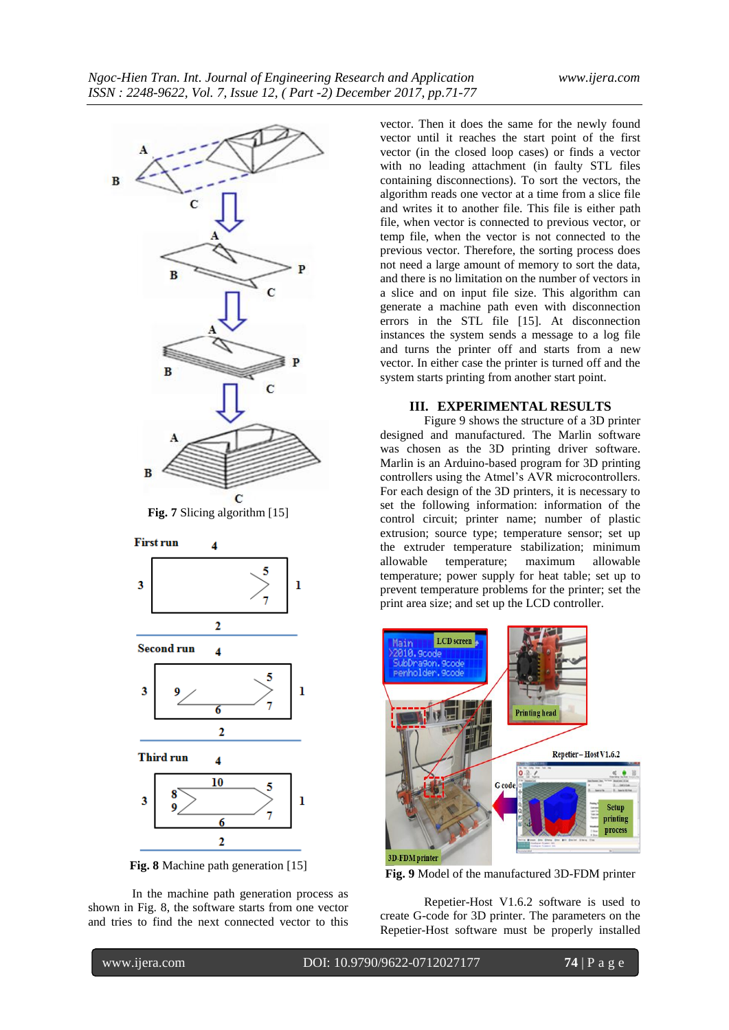



**Fig. 8** Machine path generation [15]

In the machine path generation process as shown in Fig. 8, the software starts from one vector and tries to find the next connected vector to this vector. Then it does the same for the newly found vector until it reaches the start point of the first vector (in the closed loop cases) or finds a vector with no leading attachment (in faulty STL files containing disconnections). To sort the vectors, the algorithm reads one vector at a time from a slice file and writes it to another file. This file is either path file, when vector is connected to previous vector, or temp file, when the vector is not connected to the previous vector. Therefore, the sorting process does not need a large amount of memory to sort the data, and there is no limitation on the number of vectors in a slice and on input file size. This algorithm can generate a machine path even with disconnection errors in the STL file [15]. At disconnection instances the system sends a message to a log file and turns the printer off and starts from a new vector. In either case the printer is turned off and the system starts printing from another start point.

#### **III. EXPERIMENTAL RESULTS**

Figure 9 shows the structure of a 3D printer designed and manufactured. The Marlin software was chosen as the 3D printing driver software. Marlin is an Arduino-based program for 3D printing controllers using the Atmel's AVR microcontrollers. For each design of the 3D printers, it is necessary to set the following information: information of the control circuit; printer name; number of plastic extrusion; source type; temperature sensor; set up the extruder temperature stabilization; minimum allowable temperature; maximum allowable temperature; power supply for heat table; set up to prevent temperature problems for the printer; set the print area size; and set up the LCD controller.



**Fig. 9** Model of the manufactured 3D-FDM printer

Repetier-Host V1.6.2 software is used to create G-code for 3D printer. The parameters on the Repetier-Host software must be properly installed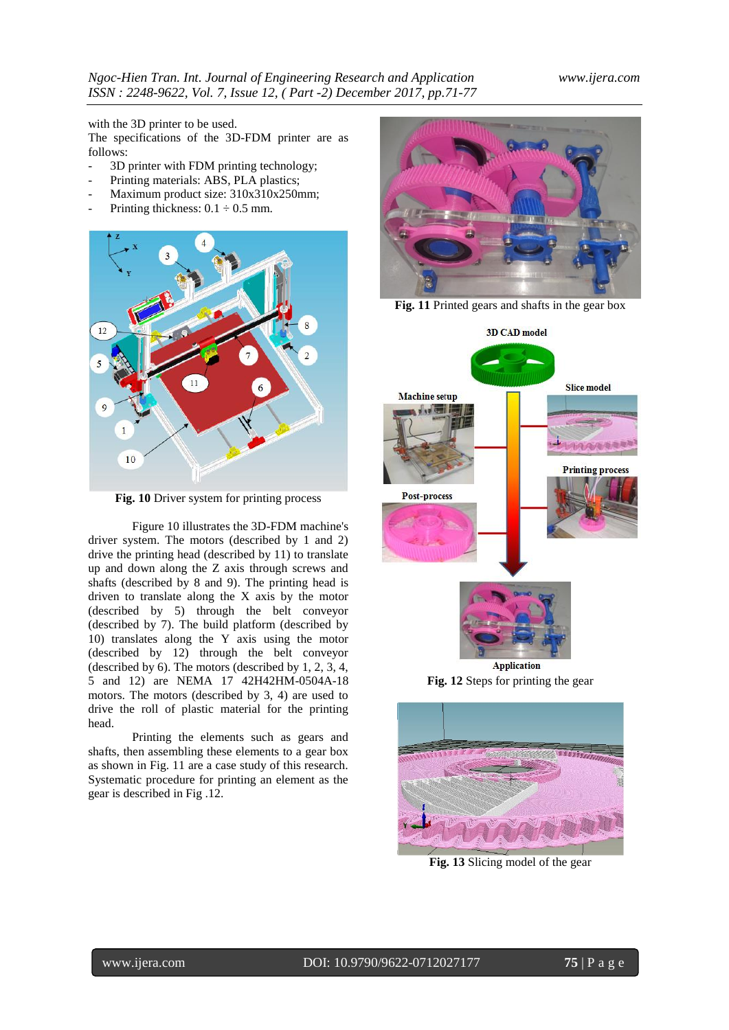with the 3D printer to be used.

The specifications of the 3D-FDM printer are as follows:

- 3D printer with FDM printing technology;
- Printing materials: ABS, PLA plastics;
- Maximum product size: 310x310x250mm;
- Printing thickness:  $0.1 \div 0.5$  mm.



**Fig. 10** Driver system for printing process

Figure 10 illustrates the 3D-FDM machine's driver system. The motors (described by 1 and 2) drive the printing head (described by 11) to translate up and down along the Z axis through screws and shafts (described by 8 and 9). The printing head is driven to translate along the X axis by the motor (described by 5) through the belt conveyor (described by 7). The build platform (described by 10) translates along the Y axis using the motor (described by 12) through the belt conveyor (described by 6). The motors (described by 1, 2, 3, 4, 5 and 12) are NEMA 17 42H42HM-0504A-18 motors. The motors (described by 3, 4) are used to drive the roll of plastic material for the printing head.

Printing the elements such as gears and shafts, then assembling these elements to a gear box as shown in Fig. 11 are a case study of this research. Systematic procedure for printing an element as the gear is described in Fig .12.



**Fig. 11** Printed gears and shafts in the gear box



Application **Fig. 12** Steps for printing the gear



**Fig. 13** Slicing model of the gear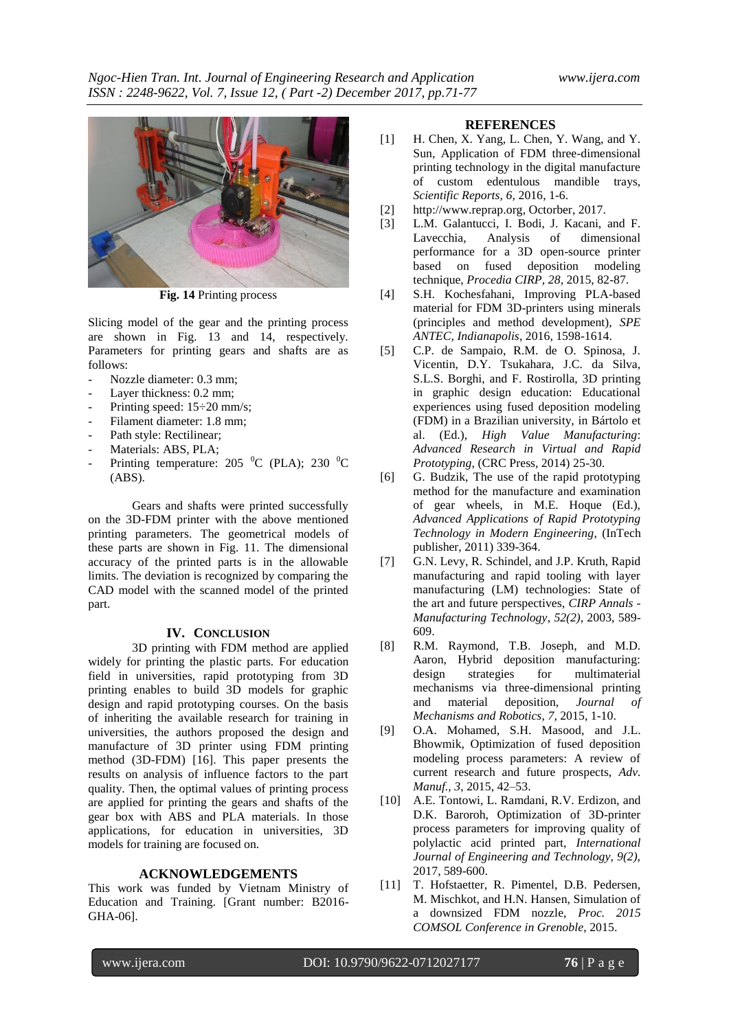

**Fig. 14** Printing process

Slicing model of the gear and the printing process are shown in Fig. 13 and 14, respectively. Parameters for printing gears and shafts are as follows:

- Nozzle diameter: 0.3 mm;
- Layer thickness: 0.2 mm;
- Printing speed:  $15\div 20$  mm/s;
- Filament diameter: 1.8 mm;
- Path style: Rectilinear;
- Materials: ABS, PLA;
- Printing temperature: 205  $^{\circ}$ C (PLA); 230  $^{\circ}$ C (ABS).

Gears and shafts were printed successfully on the 3D-FDM printer with the above mentioned printing parameters. The geometrical models of these parts are shown in Fig. 11. The dimensional accuracy of the printed parts is in the allowable limits. The deviation is recognized by comparing the CAD model with the scanned model of the printed part.

## **IV. CONCLUSION**

3D printing with FDM method are applied widely for printing the plastic parts. For education field in universities, rapid prototyping from 3D printing enables to build 3D models for graphic design and rapid prototyping courses. On the basis of inheriting the available research for training in universities, the authors proposed the design and manufacture of 3D printer using FDM printing method (3D-FDM) [16]. This paper presents the results on analysis of influence factors to the part quality. Then, the optimal values of printing process are applied for printing the gears and shafts of the gear box with ABS and PLA materials. In those applications, for education in universities, 3D models for training are focused on.

#### **ACKNOWLEDGEMENTS**

This work was funded by Vietnam Ministry of Education and Training. [Grant number: B2016- GHA-06].

#### **REFERENCES**

- [1] H. Chen, X. Yang, L. Chen, Y. Wang, and Y. Sun, Application of FDM three-dimensional printing technology in the digital manufacture of custom edentulous mandible trays, *Scientific Reports, 6,* 2016, 1-6.
- [2] http://www.reprap.org, Octorber, 2017.
- [3] L.M. Galantucci, I. Bodi, J. Kacani, and F. Lavecchia, Analysis of dimensional performance for a 3D open-source printer based on fused deposition modeling technique, *Procedia CIRP, 28,* 2015, 82-87.
- [4] S.H. Kochesfahani, Improving PLA-based material for FDM 3D-printers using minerals (principles and method development), *SPE ANTEC, Indianapolis*, 2016, 1598-1614.
- [5] C.P. de Sampaio, R.M. de O. Spinosa, J. Vicentin, D.Y. Tsukahara, J.C. da Silva, S.L.S. Borghi, and F. Rostirolla, 3D printing in graphic design education: Educational experiences using fused deposition modeling (FDM) in a Brazilian university, in Bártolo et al. (Ed.), *High Value Manufacturing*: *Advanced Research in Virtual and Rapid Prototyping,* (CRC Press, 2014) 25-30.
- [6] G. Budzik, The use of the rapid prototyping method for the manufacture and examination of gear wheels, in M.E. Hoque (Ed.), *Advanced Applications of Rapid Prototyping Technology in Modern Engineering*, (InTech publisher, 2011) 339-364.
- [7] G.N. Levy, R. Schindel, and J.P. Kruth, Rapid manufacturing and rapid tooling with layer manufacturing (LM) technologies: State of the art and future perspectives, *CIRP Annals - Manufacturing Technology*, *52(2),* 2003, 589- 609.
- [8] R.M. Raymond, T.B. Joseph, and M.D. Aaron, Hybrid deposition manufacturing: design strategies for multimaterial mechanisms via three-dimensional printing and material deposition, *Journal of Mechanisms and Robotics*, *7,* 2015, 1-10.
- [9] O.A. Mohamed, S.H. Masood, and J.L. Bhowmik, Optimization of fused deposition modeling process parameters: A review of current research and future prospects, *Adv. Manuf., 3,* 2015, 42–53.
- [10] A.E. Tontowi, L. Ramdani, R.V. Erdizon, and D.K. Baroroh, Optimization of 3D-printer process parameters for improving quality of polylactic acid printed part, *International Journal of Engineering and Technology, 9(2),* 2017, 589-600.
- [11] T. Hofstaetter, R. Pimentel, D.B. Pedersen, M. Mischkot, and H.N. Hansen, Simulation of a downsized FDM nozzle, *Proc. 2015 COMSOL Conference in Grenoble*, 2015.